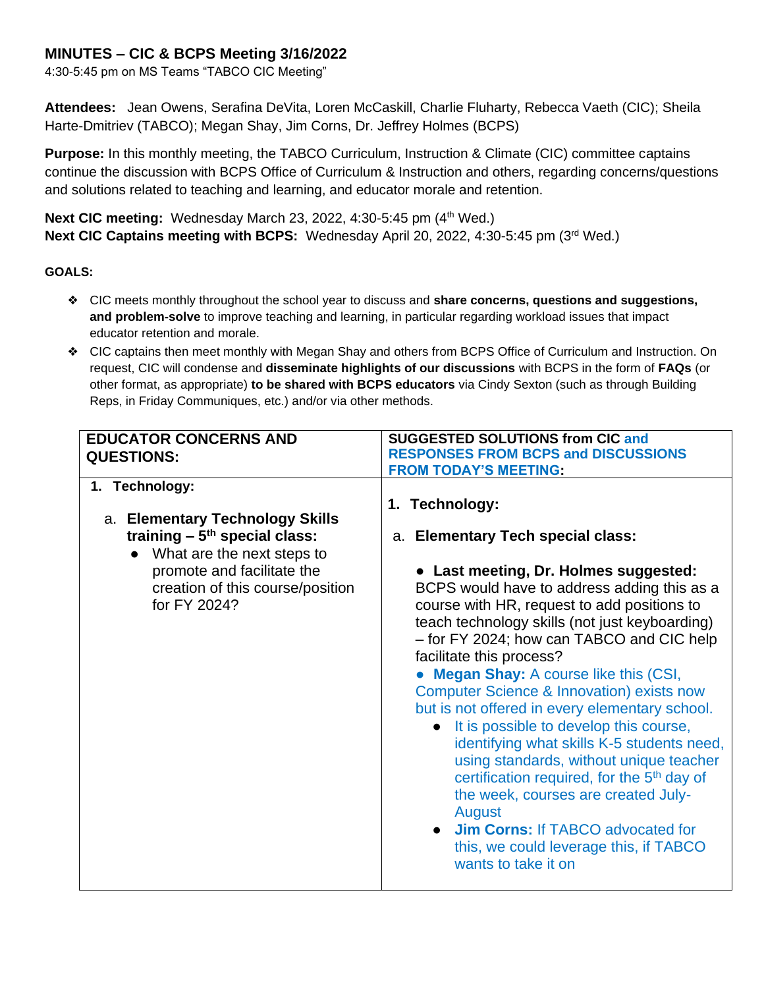## **MINUTES – CIC & BCPS Meeting 3/16/2022**

4:30-5:45 pm on MS Teams "TABCO CIC Meeting"

**Attendees:** Jean Owens, Serafina DeVita, Loren McCaskill, Charlie Fluharty, Rebecca Vaeth (CIC); Sheila Harte-Dmitriev (TABCO); Megan Shay, Jim Corns, Dr. Jeffrey Holmes (BCPS)

**Purpose:** In this monthly meeting, the TABCO Curriculum, Instruction & Climate (CIC) committee captains continue the discussion with BCPS Office of Curriculum & Instruction and others, regarding concerns/questions and solutions related to teaching and learning, and educator morale and retention.

**Next CIC meeting:** Wednesday March 23, 2022, 4:30-5:45 pm (4<sup>th</sup> Wed.) **Next CIC Captains meeting with BCPS:** Wednesday April 20, 2022, 4:30-5:45 pm (3rd Wed.)

### **GOALS:**

- ❖ CIC meets monthly throughout the school year to discuss and **share concerns, questions and suggestions, and problem-solve** to improve teaching and learning, in particular regarding workload issues that impact educator retention and morale.
- ❖ CIC captains then meet monthly with Megan Shay and others from BCPS Office of Curriculum and Instruction. On request, CIC will condense and **disseminate highlights of our discussions** with BCPS in the form of **FAQs** (or other format, as appropriate) **to be shared with BCPS educators** via Cindy Sexton (such as through Building Reps, in Friday Communiques, etc.) and/or via other methods.

| <b>EDUCATOR CONCERNS AND</b><br><b>QUESTIONS:</b>                                                                                                                                                               | <b>SUGGESTED SOLUTIONS from CIC and</b><br><b>RESPONSES FROM BCPS and DISCUSSIONS</b>                                                                                                                                                                                                                                                                                                                                                                                                                                                                                                                                                                                                                                                                                                                                                  |
|-----------------------------------------------------------------------------------------------------------------------------------------------------------------------------------------------------------------|----------------------------------------------------------------------------------------------------------------------------------------------------------------------------------------------------------------------------------------------------------------------------------------------------------------------------------------------------------------------------------------------------------------------------------------------------------------------------------------------------------------------------------------------------------------------------------------------------------------------------------------------------------------------------------------------------------------------------------------------------------------------------------------------------------------------------------------|
|                                                                                                                                                                                                                 | <b>FROM TODAY'S MEETING:</b>                                                                                                                                                                                                                                                                                                                                                                                                                                                                                                                                                                                                                                                                                                                                                                                                           |
| 1. Technology:<br>a. Elementary Technology Skills<br>training $-5$ <sup>th</sup> special class:<br>What are the next steps to<br>promote and facilitate the<br>creation of this course/position<br>for FY 2024? | 1. Technology:<br>a. Elementary Tech special class:<br>• Last meeting, Dr. Holmes suggested:<br>BCPS would have to address adding this as a<br>course with HR, request to add positions to<br>teach technology skills (not just keyboarding)<br>- for FY 2024; how can TABCO and CIC help<br>facilitate this process?<br><b>Megan Shay: A course like this (CSI,</b><br><b>Computer Science &amp; Innovation) exists now</b><br>but is not offered in every elementary school.<br>• It is possible to develop this course,<br>identifying what skills K-5 students need,<br>using standards, without unique teacher<br>certification required, for the 5 <sup>th</sup> day of<br>the week, courses are created July-<br>August<br>• Jim Corns: If TABCO advocated for<br>this, we could leverage this, if TABCO<br>wants to take it on |
|                                                                                                                                                                                                                 |                                                                                                                                                                                                                                                                                                                                                                                                                                                                                                                                                                                                                                                                                                                                                                                                                                        |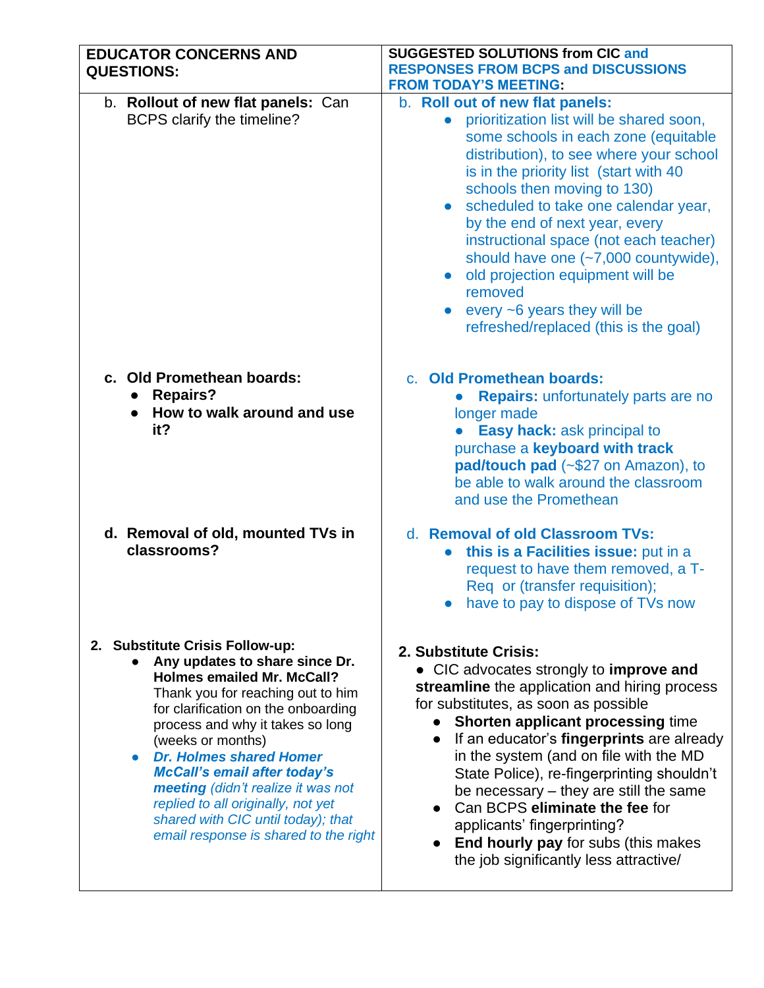| <b>EDUCATOR CONCERNS AND</b><br><b>QUESTIONS:</b>                                                                                                                                                                                                                                                                                                                                                                                                                                            | <b>SUGGESTED SOLUTIONS from CIC and</b><br><b>RESPONSES FROM BCPS and DISCUSSIONS</b><br><b>FROM TODAY'S MEETING:</b>                                                                                                                                                                                                                                                                                                                                                                                                                                                   |
|----------------------------------------------------------------------------------------------------------------------------------------------------------------------------------------------------------------------------------------------------------------------------------------------------------------------------------------------------------------------------------------------------------------------------------------------------------------------------------------------|-------------------------------------------------------------------------------------------------------------------------------------------------------------------------------------------------------------------------------------------------------------------------------------------------------------------------------------------------------------------------------------------------------------------------------------------------------------------------------------------------------------------------------------------------------------------------|
| b. Rollout of new flat panels: Can<br>BCPS clarify the timeline?                                                                                                                                                                                                                                                                                                                                                                                                                             | b. Roll out of new flat panels:<br>prioritization list will be shared soon,<br>some schools in each zone (equitable<br>distribution), to see where your school<br>is in the priority list (start with 40<br>schools then moving to 130)<br>scheduled to take one calendar year,<br>$\bullet$<br>by the end of next year, every<br>instructional space (not each teacher)<br>should have one (~7,000 countywide),<br>old projection equipment will be<br>$\bullet$<br>removed<br>every $\sim$ 6 years they will be<br>$\bullet$<br>refreshed/replaced (this is the goal) |
| c. Old Promethean boards:<br><b>Repairs?</b><br>$\bullet$<br>How to walk around and use<br>it?                                                                                                                                                                                                                                                                                                                                                                                               | c. Old Promethean boards:<br><b>Repairs:</b> unfortunately parts are no<br>longer made<br><b>Easy hack: ask principal to</b><br>purchase a keyboard with track<br>pad/touch pad (~\$27 on Amazon), to<br>be able to walk around the classroom<br>and use the Promethean                                                                                                                                                                                                                                                                                                 |
| d. Removal of old, mounted TVs in<br>classrooms?                                                                                                                                                                                                                                                                                                                                                                                                                                             | d. Removal of old Classroom TVs:<br>this is a Facilities issue: put in a<br>request to have them removed, a T-<br>Req or (transfer requisition);<br>have to pay to dispose of TVs now                                                                                                                                                                                                                                                                                                                                                                                   |
| 2. Substitute Crisis Follow-up:<br>Any updates to share since Dr.<br><b>Holmes emailed Mr. McCall?</b><br>Thank you for reaching out to him<br>for clarification on the onboarding<br>process and why it takes so long<br>(weeks or months)<br><b>Dr. Holmes shared Homer</b><br>$\bullet$<br><b>McCall's email after today's</b><br>meeting (didn't realize it was not<br>replied to all originally, not yet<br>shared with CIC until today); that<br>email response is shared to the right | 2. Substitute Crisis:<br>• CIC advocates strongly to improve and<br>streamline the application and hiring process<br>for substitutes, as soon as possible<br><b>Shorten applicant processing time</b><br>If an educator's fingerprints are already<br>$\bullet$<br>in the system (and on file with the MD<br>State Police), re-fingerprinting shouldn't<br>be necessary – they are still the same<br>Can BCPS eliminate the fee for<br>applicants' fingerprinting?<br>End hourly pay for subs (this makes<br>the job significantly less attractive/                     |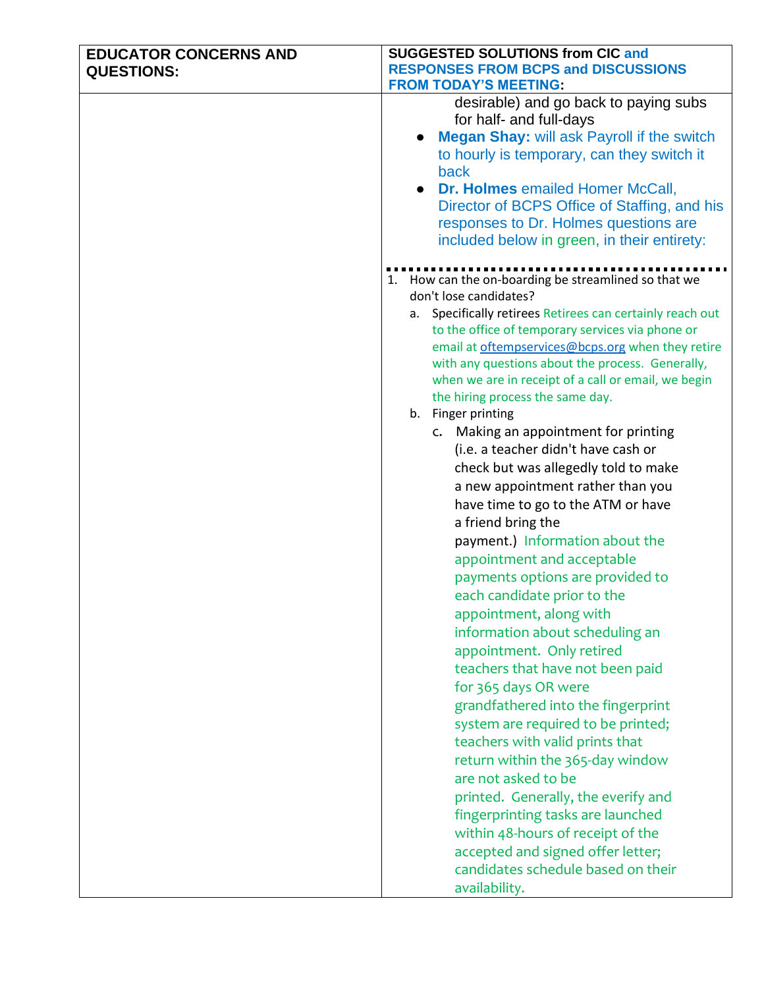| <b>EDUCATOR CONCERNS AND</b> | <b>SUGGESTED SOLUTIONS from CIC and</b>                                                               |
|------------------------------|-------------------------------------------------------------------------------------------------------|
| <b>QUESTIONS:</b>            | <b>RESPONSES FROM BCPS and DISCUSSIONS</b>                                                            |
|                              | <b>FROM TODAY'S MEETING:</b>                                                                          |
|                              | desirable) and go back to paying subs                                                                 |
|                              | for half- and full-days                                                                               |
|                              | <b>Megan Shay: will ask Payroll if the switch</b><br>to hourly is temporary, can they switch it       |
|                              | back                                                                                                  |
|                              | <b>Dr. Holmes emailed Homer McCall,</b><br>$\bullet$                                                  |
|                              | Director of BCPS Office of Staffing, and his                                                          |
|                              | responses to Dr. Holmes questions are                                                                 |
|                              | included below in green, in their entirety:                                                           |
|                              |                                                                                                       |
|                              | 1. How can the on-boarding be streamlined so that we                                                  |
|                              | don't lose candidates?                                                                                |
|                              | Specifically retirees Retirees can certainly reach out<br>а.                                          |
|                              | to the office of temporary services via phone or<br>email at oftempservices@bcps.org when they retire |
|                              | with any questions about the process. Generally,                                                      |
|                              | when we are in receipt of a call or email, we begin                                                   |
|                              | the hiring process the same day.                                                                      |
|                              | b. Finger printing                                                                                    |
|                              | c. Making an appointment for printing                                                                 |
|                              | (i.e. a teacher didn't have cash or                                                                   |
|                              | check but was allegedly told to make                                                                  |
|                              | a new appointment rather than you                                                                     |
|                              | have time to go to the ATM or have                                                                    |
|                              | a friend bring the                                                                                    |
|                              | payment.) Information about the                                                                       |
|                              | appointment and acceptable                                                                            |
|                              | payments options are provided to                                                                      |
|                              | each candidate prior to the                                                                           |
|                              | appointment, along with                                                                               |
|                              | information about scheduling an                                                                       |
|                              | appointment. Only retired                                                                             |
|                              | teachers that have not been paid                                                                      |
|                              | for 365 days OR were                                                                                  |
|                              | grandfathered into the fingerprint                                                                    |
|                              | system are required to be printed;                                                                    |
|                              | teachers with valid prints that                                                                       |
|                              | return within the 365-day window                                                                      |
|                              | are not asked to be                                                                                   |
|                              | printed. Generally, the everify and                                                                   |
|                              | fingerprinting tasks are launched                                                                     |
|                              | within 48-hours of receipt of the                                                                     |
|                              | accepted and signed offer letter;                                                                     |
|                              | candidates schedule based on their                                                                    |
|                              | availability.                                                                                         |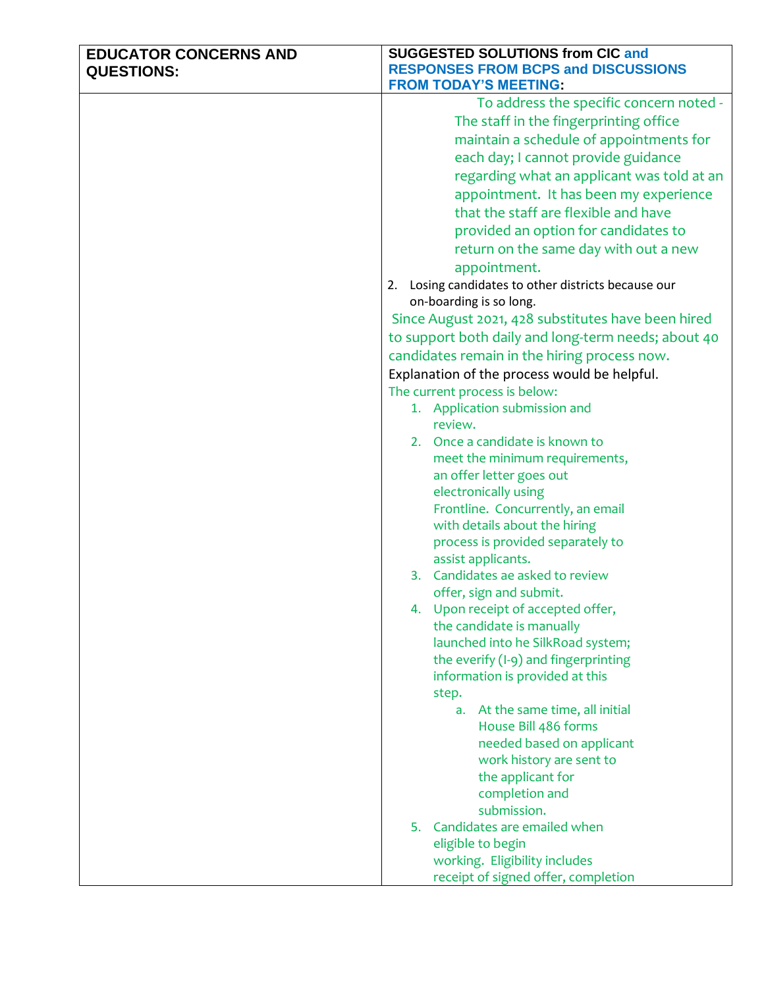| <b>EDUCATOR CONCERNS AND</b> | <b>SUGGESTED SOLUTIONS from CIC and</b>                 |
|------------------------------|---------------------------------------------------------|
| <b>QUESTIONS:</b>            | <b>RESPONSES FROM BCPS and DISCUSSIONS</b>              |
|                              | <b>FROM TODAY'S MEETING:</b>                            |
|                              | To address the specific concern noted -                 |
|                              | The staff in the fingerprinting office                  |
|                              | maintain a schedule of appointments for                 |
|                              | each day; I cannot provide guidance                     |
|                              | regarding what an applicant was told at an              |
|                              | appointment. It has been my experience                  |
|                              | that the staff are flexible and have                    |
|                              | provided an option for candidates to                    |
|                              | return on the same day with out a new                   |
|                              | appointment.                                            |
|                              | Losing candidates to other districts because our<br>2.  |
|                              | on-boarding is so long.                                 |
|                              | Since August 2021, 428 substitutes have been hired      |
|                              | to support both daily and long-term needs; about 40     |
|                              | candidates remain in the hiring process now.            |
|                              | Explanation of the process would be helpful.            |
|                              | The current process is below:                           |
|                              | 1. Application submission and                           |
|                              | review.                                                 |
|                              | 2. Once a candidate is known to                         |
|                              | meet the minimum requirements,                          |
|                              | an offer letter goes out                                |
|                              | electronically using                                    |
|                              | Frontline. Concurrently, an email                       |
|                              | with details about the hiring                           |
|                              | process is provided separately to<br>assist applicants. |
|                              | 3. Candidates ae asked to review                        |
|                              | offer, sign and submit.                                 |
|                              | 4. Upon receipt of accepted offer,                      |
|                              | the candidate is manually                               |
|                              | launched into he SilkRoad system;                       |
|                              | the everify (I-9) and fingerprinting                    |
|                              | information is provided at this                         |
|                              | step.                                                   |
|                              | At the same time, all initial<br>а.                     |
|                              | House Bill 486 forms                                    |
|                              | needed based on applicant                               |
|                              | work history are sent to                                |
|                              | the applicant for                                       |
|                              | completion and                                          |
|                              | submission.<br>5. Candidates are emailed when           |
|                              | eligible to begin                                       |
|                              | working. Eligibility includes                           |
|                              | receipt of signed offer, completion                     |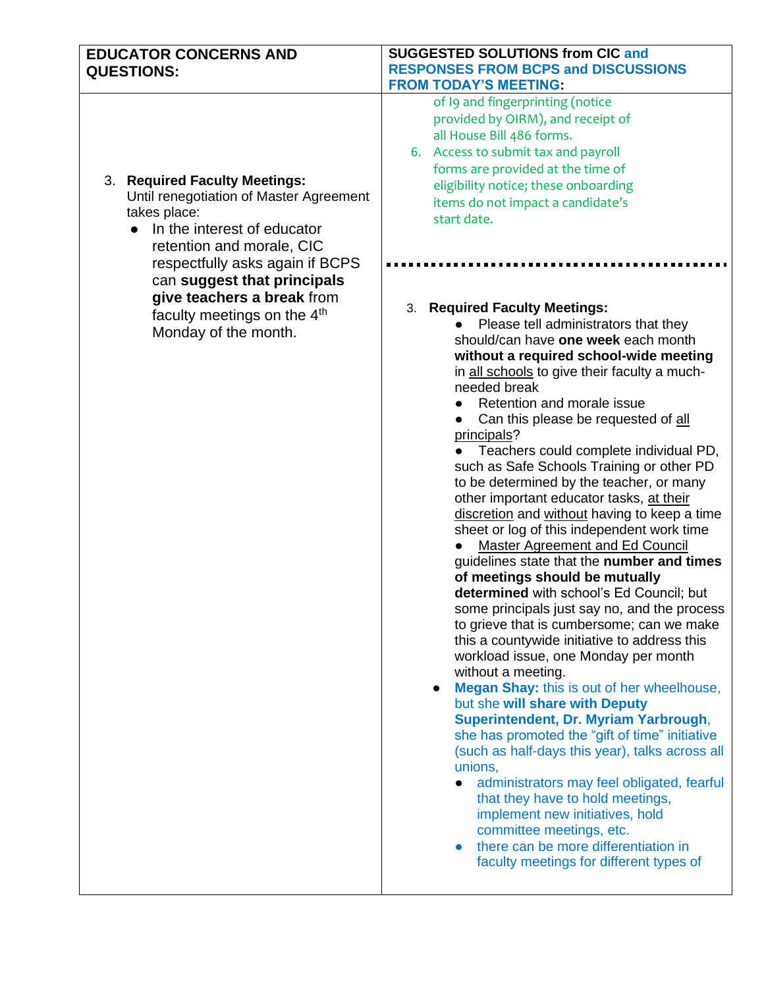| <b>EDUCATOR CONCERNS AND</b><br><b>QUESTIONS:</b>                                                                                                                                                                                                                                                           | <b>SUGGESTED SOLUTIONS from CIC and</b><br><b>RESPONSES FROM BCPS and DISCUSSIONS</b><br><b>FROM TODAY'S MEETING:</b>                                                                                                                                                                                                                                                                                                                                                                                                                                                                                                                                                                                                                                                                                                                                                                                                                                                                                                                                                                                                                                                                                                                                                                                                                                                                                                                                                                                                                                                                                                                                                                                                                                             |
|-------------------------------------------------------------------------------------------------------------------------------------------------------------------------------------------------------------------------------------------------------------------------------------------------------------|-------------------------------------------------------------------------------------------------------------------------------------------------------------------------------------------------------------------------------------------------------------------------------------------------------------------------------------------------------------------------------------------------------------------------------------------------------------------------------------------------------------------------------------------------------------------------------------------------------------------------------------------------------------------------------------------------------------------------------------------------------------------------------------------------------------------------------------------------------------------------------------------------------------------------------------------------------------------------------------------------------------------------------------------------------------------------------------------------------------------------------------------------------------------------------------------------------------------------------------------------------------------------------------------------------------------------------------------------------------------------------------------------------------------------------------------------------------------------------------------------------------------------------------------------------------------------------------------------------------------------------------------------------------------------------------------------------------------------------------------------------------------|
| 3. Required Faculty Meetings:<br>Until renegotiation of Master Agreement<br>takes place:<br>In the interest of educator<br>retention and morale, CIC<br>respectfully asks again if BCPS<br>can suggest that principals<br>give teachers a break from<br>faculty meetings on the 4th<br>Monday of the month. | of I9 and fingerprinting (notice<br>provided by OIRM), and receipt of<br>all House Bill 486 forms.<br>6. Access to submit tax and payroll<br>forms are provided at the time of<br>eligibility notice; these onboarding<br>items do not impact a candidate's<br>start date.<br><b>Required Faculty Meetings:</b><br>3.<br>Please tell administrators that they<br>should/can have one week each month<br>without a required school-wide meeting<br>in all schools to give their faculty a much-<br>needed break<br>Retention and morale issue<br>Can this please be requested of all<br>principals?<br>Teachers could complete individual PD,<br>such as Safe Schools Training or other PD<br>to be determined by the teacher, or many<br>other important educator tasks, at their<br>discretion and without having to keep a time<br>sheet or log of this independent work time<br><b>Master Agreement and Ed Council</b><br>guidelines state that the number and times<br>of meetings should be mutually<br>determined with school's Ed Council; but<br>some principals just say no, and the process<br>to grieve that is cumbersome; can we make<br>this a countywide initiative to address this<br>workload issue, one Monday per month<br>without a meeting.<br><b>Megan Shay:</b> this is out of her wheelhouse,<br>$\bullet$<br>but she will share with Deputy<br>Superintendent, Dr. Myriam Yarbrough,<br>she has promoted the "gift of time" initiative<br>(such as half-days this year), talks across all<br>unions,<br>administrators may feel obligated, fearful<br>that they have to hold meetings,<br>implement new initiatives, hold<br>committee meetings, etc.<br>there can be more differentiation in<br>faculty meetings for different types of |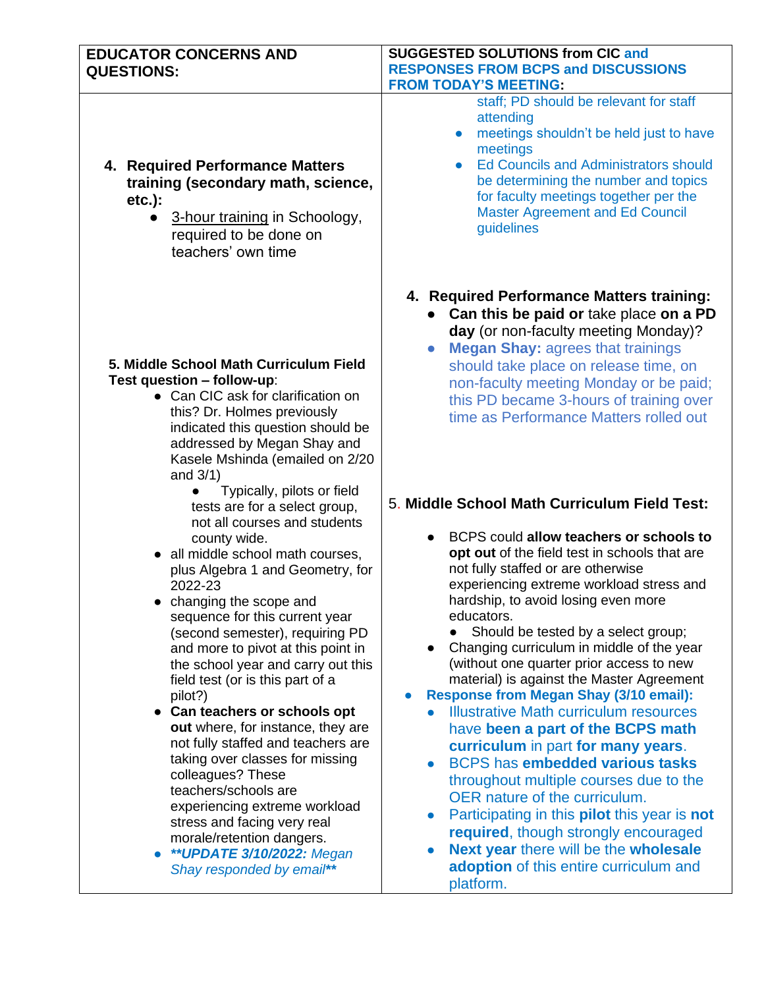| <b>EDUCATOR CONCERNS AND</b><br><b>QUESTIONS:</b>                                                                                                                                                                                                                                                                                                                                                                                                                                                                                                                                                                                                                                                                     | <b>SUGGESTED SOLUTIONS from CIC and</b><br><b>RESPONSES FROM BCPS and DISCUSSIONS</b><br><b>FROM TODAY'S MEETING:</b>                                                                                                                                                                                                                                                                                                                                                                                                                                                                                                                                                                                                                                                                                                                                                                                                |
|-----------------------------------------------------------------------------------------------------------------------------------------------------------------------------------------------------------------------------------------------------------------------------------------------------------------------------------------------------------------------------------------------------------------------------------------------------------------------------------------------------------------------------------------------------------------------------------------------------------------------------------------------------------------------------------------------------------------------|----------------------------------------------------------------------------------------------------------------------------------------------------------------------------------------------------------------------------------------------------------------------------------------------------------------------------------------------------------------------------------------------------------------------------------------------------------------------------------------------------------------------------------------------------------------------------------------------------------------------------------------------------------------------------------------------------------------------------------------------------------------------------------------------------------------------------------------------------------------------------------------------------------------------|
| 4. Required Performance Matters<br>training (secondary math, science,<br>$etc.$ ):<br>3-hour training in Schoology,<br>required to be done on<br>teachers' own time                                                                                                                                                                                                                                                                                                                                                                                                                                                                                                                                                   | staff; PD should be relevant for staff<br>attending<br>meetings shouldn't be held just to have<br>$\bullet$<br>meetings<br><b>Ed Councils and Administrators should</b><br>$\bullet$<br>be determining the number and topics<br>for faculty meetings together per the<br><b>Master Agreement and Ed Council</b><br>guidelines                                                                                                                                                                                                                                                                                                                                                                                                                                                                                                                                                                                        |
| 5. Middle School Math Curriculum Field<br>Test question - follow-up:<br>• Can CIC ask for clarification on<br>this? Dr. Holmes previously<br>indicated this question should be<br>addressed by Megan Shay and<br>Kasele Mshinda (emailed on 2/20<br>and $3/1$ )                                                                                                                                                                                                                                                                                                                                                                                                                                                       | 4. Required Performance Matters training:<br>• Can this be paid or take place on a PD<br>day (or non-faculty meeting Monday)?<br><b>Megan Shay: agrees that trainings</b><br>should take place on release time, on<br>non-faculty meeting Monday or be paid;<br>this PD became 3-hours of training over<br>time as Performance Matters rolled out                                                                                                                                                                                                                                                                                                                                                                                                                                                                                                                                                                    |
| Typically, pilots or field<br>tests are for a select group,                                                                                                                                                                                                                                                                                                                                                                                                                                                                                                                                                                                                                                                           | 5. Middle School Math Curriculum Field Test:                                                                                                                                                                                                                                                                                                                                                                                                                                                                                                                                                                                                                                                                                                                                                                                                                                                                         |
| not all courses and students<br>county wide.<br>• all middle school math courses,<br>plus Algebra 1 and Geometry, for<br>2022-23<br>changing the scope and<br>sequence for this current year<br>(second semester), requiring PD<br>and more to pivot at this point in<br>the school year and carry out this<br>field test (or is this part of a<br>pilot?)<br>• Can teachers or schools opt<br>out where, for instance, they are<br>not fully staffed and teachers are<br>taking over classes for missing<br>colleagues? These<br>teachers/schools are<br>experiencing extreme workload<br>stress and facing very real<br>morale/retention dangers.<br>** <b>UPDATE 3/10/2022: Megan</b><br>Shay responded by email** | BCPS could allow teachers or schools to<br>opt out of the field test in schools that are<br>not fully staffed or are otherwise<br>experiencing extreme workload stress and<br>hardship, to avoid losing even more<br>educators.<br>Should be tested by a select group;<br>Changing curriculum in middle of the year<br>(without one quarter prior access to new<br>material) is against the Master Agreement<br><b>Response from Megan Shay (3/10 email):</b><br>$\bullet$<br><b>Illustrative Math curriculum resources</b><br>have been a part of the BCPS math<br>curriculum in part for many years.<br><b>BCPS</b> has embedded various tasks<br>throughout multiple courses due to the<br>OER nature of the curriculum.<br>Participating in this <b>pilot</b> this year is not<br>required, though strongly encouraged<br><b>Next year there will be the wholesale</b><br>adoption of this entire curriculum and |

platform.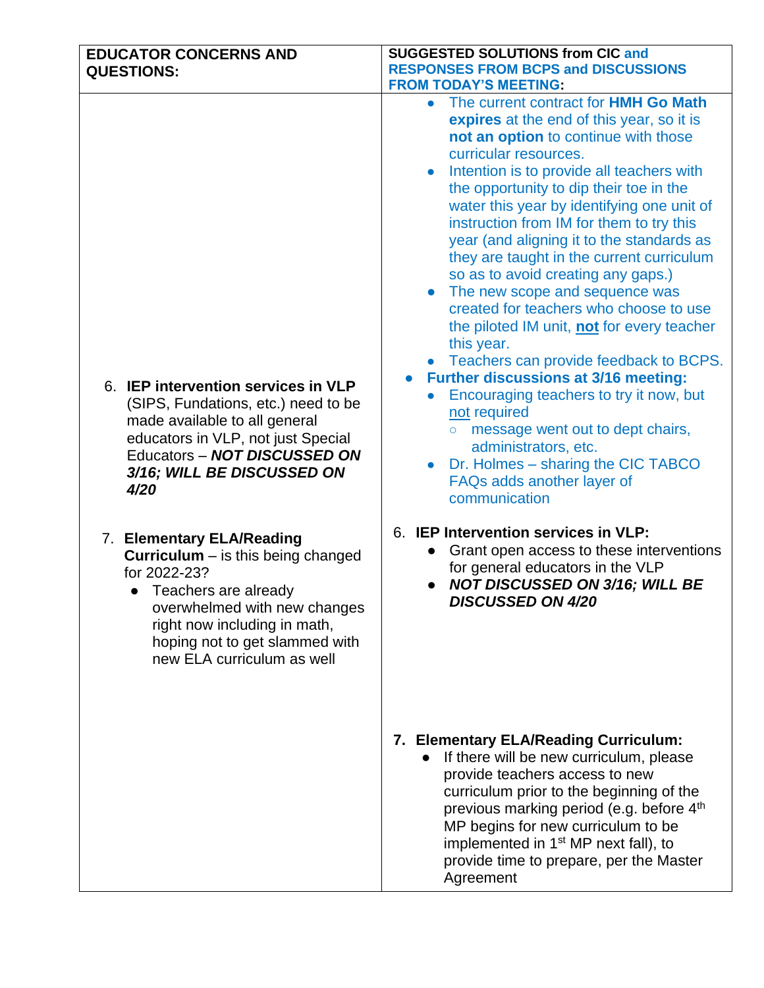| <b>EDUCATOR CONCERNS AND</b><br><b>QUESTIONS:</b>                                                                                                                                                                                                | <b>SUGGESTED SOLUTIONS from CIC and</b><br><b>RESPONSES FROM BCPS and DISCUSSIONS</b><br><b>FROM TODAY'S MEETING:</b>                                                                                                                                                                                                                                                                                                                                                                                                                                                                                                                                                                                                                                                                                                                                                                                                                                                              |
|--------------------------------------------------------------------------------------------------------------------------------------------------------------------------------------------------------------------------------------------------|------------------------------------------------------------------------------------------------------------------------------------------------------------------------------------------------------------------------------------------------------------------------------------------------------------------------------------------------------------------------------------------------------------------------------------------------------------------------------------------------------------------------------------------------------------------------------------------------------------------------------------------------------------------------------------------------------------------------------------------------------------------------------------------------------------------------------------------------------------------------------------------------------------------------------------------------------------------------------------|
| 6. IEP intervention services in VLP<br>(SIPS, Fundations, etc.) need to be<br>made available to all general<br>educators in VLP, not just Special<br>Educators - NOT DISCUSSED ON<br>3/16; WILL BE DISCUSSED ON<br>4/20                          | The current contract for HMH Go Math<br>$\bullet$<br>expires at the end of this year, so it is<br>not an option to continue with those<br>curricular resources.<br>Intention is to provide all teachers with<br>$\bullet$<br>the opportunity to dip their toe in the<br>water this year by identifying one unit of<br>instruction from IM for them to try this<br>year (and aligning it to the standards as<br>they are taught in the current curriculum<br>so as to avoid creating any gaps.)<br>The new scope and sequence was<br>$\bullet$<br>created for teachers who choose to use<br>the piloted IM unit, not for every teacher<br>this year.<br>• Teachers can provide feedback to BCPS.<br><b>Further discussions at 3/16 meeting:</b><br>Encouraging teachers to try it now, but<br>not required<br>message went out to dept chairs,<br>$\circ$<br>administrators, etc.<br>Dr. Holmes – sharing the CIC TABCO<br>$\bullet$<br>FAQs adds another layer of<br>communication |
| 7. Elementary ELA/Reading<br><b>Curriculum</b> – is this being changed<br>for 2022-23?<br>• Teachers are already<br>overwhelmed with new changes<br>right now including in math,<br>hoping not to get slammed with<br>new ELA curriculum as well | 6. IEP Intervention services in VLP:<br>Grant open access to these interventions<br>for general educators in the VLP<br><b>NOT DISCUSSED ON 3/16; WILL BE</b><br><b>DISCUSSED ON 4/20</b>                                                                                                                                                                                                                                                                                                                                                                                                                                                                                                                                                                                                                                                                                                                                                                                          |
|                                                                                                                                                                                                                                                  | 7. Elementary ELA/Reading Curriculum:<br>• If there will be new curriculum, please<br>provide teachers access to new<br>curriculum prior to the beginning of the<br>previous marking period (e.g. before 4 <sup>th</sup><br>MP begins for new curriculum to be<br>implemented in 1 <sup>st</sup> MP next fall), to<br>provide time to prepare, per the Master<br>Agreement                                                                                                                                                                                                                                                                                                                                                                                                                                                                                                                                                                                                         |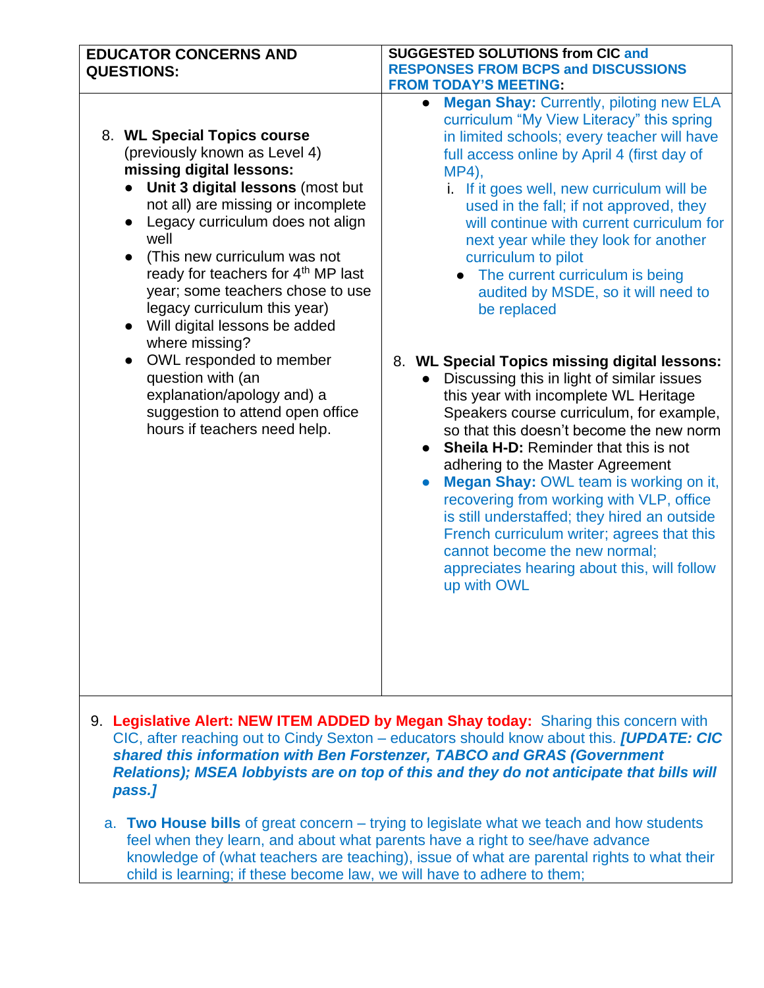| <b>EDUCATOR CONCERNS AND</b>                                                                                                                                                                                                                                                                                                                                                                                                                                                                                                                                                 | <b>SUGGESTED SOLUTIONS from CIC and</b>                                                                                                                                                                                                                                                                                                                                                                                                                                                                                                                                                                                                                                                                                                                                                                                                                                                                                        |
|------------------------------------------------------------------------------------------------------------------------------------------------------------------------------------------------------------------------------------------------------------------------------------------------------------------------------------------------------------------------------------------------------------------------------------------------------------------------------------------------------------------------------------------------------------------------------|--------------------------------------------------------------------------------------------------------------------------------------------------------------------------------------------------------------------------------------------------------------------------------------------------------------------------------------------------------------------------------------------------------------------------------------------------------------------------------------------------------------------------------------------------------------------------------------------------------------------------------------------------------------------------------------------------------------------------------------------------------------------------------------------------------------------------------------------------------------------------------------------------------------------------------|
| <b>QUESTIONS:</b>                                                                                                                                                                                                                                                                                                                                                                                                                                                                                                                                                            | <b>RESPONSES FROM BCPS and DISCUSSIONS</b>                                                                                                                                                                                                                                                                                                                                                                                                                                                                                                                                                                                                                                                                                                                                                                                                                                                                                     |
|                                                                                                                                                                                                                                                                                                                                                                                                                                                                                                                                                                              | <b>FROM TODAY'S MEETING:</b>                                                                                                                                                                                                                                                                                                                                                                                                                                                                                                                                                                                                                                                                                                                                                                                                                                                                                                   |
| 8. WL Special Topics course<br>(previously known as Level 4)<br>missing digital lessons:<br>• Unit 3 digital lessons (most but<br>not all) are missing or incomplete<br>Legacy curriculum does not align<br>well<br>(This new curriculum was not<br>ready for teachers for 4th MP last<br>year; some teachers chose to use<br>legacy curriculum this year)<br>Will digital lessons be added<br>where missing?<br>OWL responded to member<br>$\bullet$<br>question with (an<br>explanation/apology and) a<br>suggestion to attend open office<br>hours if teachers need help. | <b>Megan Shay: Currently, piloting new ELA</b><br>$\bullet$<br>curriculum "My View Literacy" this spring<br>in limited schools; every teacher will have<br>full access online by April 4 (first day of<br>MP4),<br>i. If it goes well, new curriculum will be<br>used in the fall; if not approved, they<br>will continue with current curriculum for<br>next year while they look for another<br>curriculum to pilot<br>The current curriculum is being<br>audited by MSDE, so it will need to<br>be replaced<br>8. WL Special Topics missing digital lessons:<br>Discussing this in light of similar issues<br>this year with incomplete WL Heritage<br>Speakers course curriculum, for example,<br>so that this doesn't become the new norm<br>Sheila H-D: Reminder that this is not<br>adhering to the Master Agreement<br>Megan Shay: OWL team is working on it,<br>$\bullet$<br>recovering from working with VLP, office |
|                                                                                                                                                                                                                                                                                                                                                                                                                                                                                                                                                                              | is still understaffed; they hired an outside<br>French curriculum writer; agrees that this<br>cannot become the new normal;<br>appreciates hearing about this, will follow<br>up with OWL                                                                                                                                                                                                                                                                                                                                                                                                                                                                                                                                                                                                                                                                                                                                      |

9. **Legislative Alert: NEW ITEM ADDED by Megan Shay today:** Sharing this concern with CIC, after reaching out to Cindy Sexton – educators should know about this. *[UPDATE: CIC shared this information with Ben Forstenzer, TABCO and GRAS (Government Relations); MSEA lobbyists are on top of this and they do not anticipate that bills will pass.]*

a. **Two House bills** of great concern – trying to legislate what we teach and how students feel when they learn, and about what parents have a right to see/have advance knowledge of (what teachers are teaching), issue of what are parental rights to what their child is learning; if these become law, we will have to adhere to them;